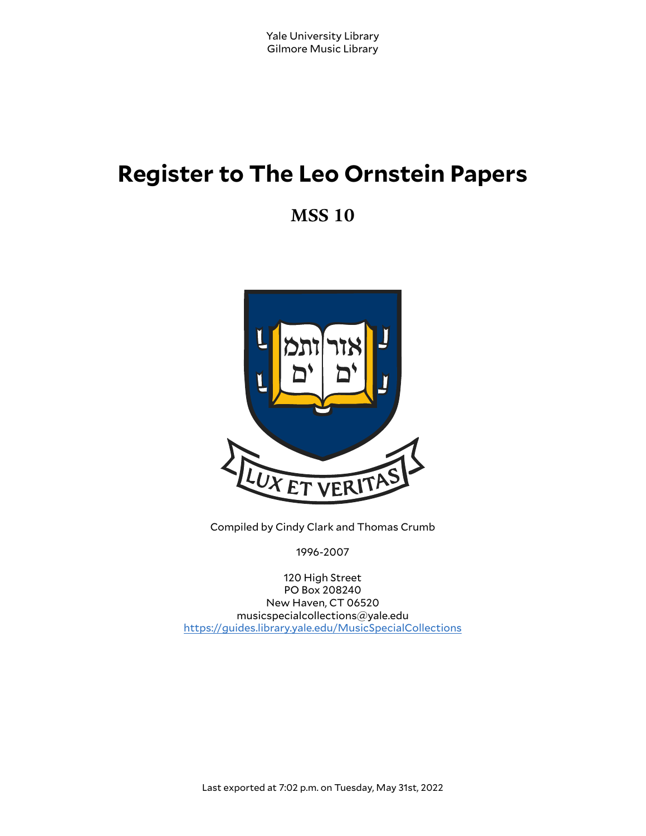# **Register to The Leo Ornstein Papers**

**MSS 10**



Compiled by Cindy Clark and Thomas Crumb

1996-2007

120 High Street PO Box 208240 New Haven, CT 06520 musicspecialcollections@yale.edu <https://guides.library.yale.edu/MusicSpecialCollections>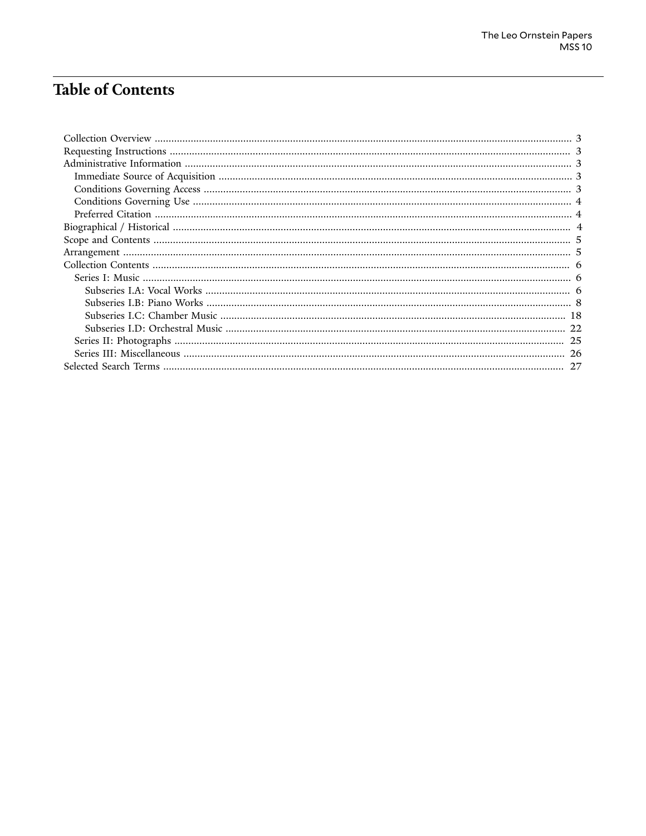# **Table of Contents**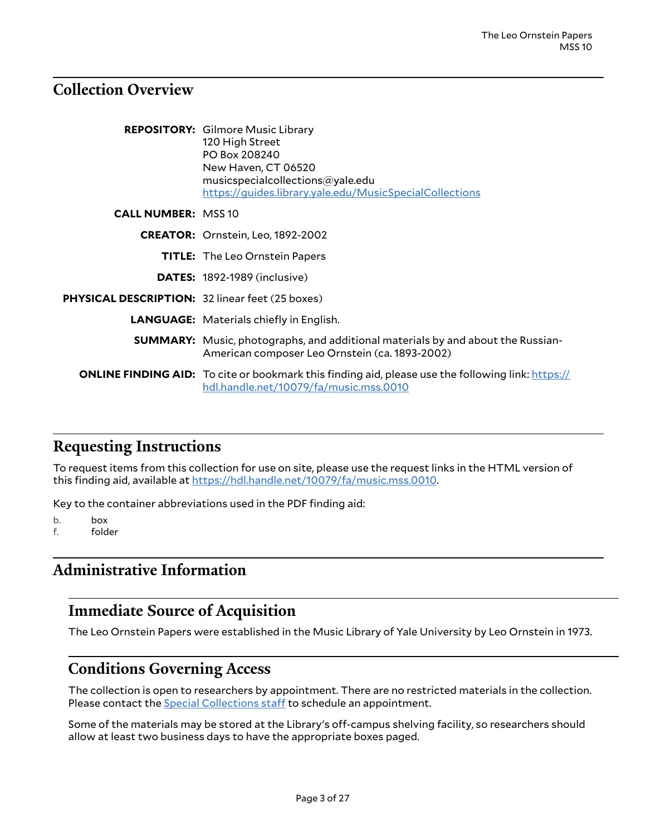### <span id="page-2-0"></span>**Collection Overview**

|                                                        | <b>REPOSITORY:</b> Gilmore Music Library<br>120 High Street<br>PO Box 208240<br>New Haven, CT 06520<br>musicspecialcollections@yale.edu<br>https://guides.library.yale.edu/MusicSpecialCollections |
|--------------------------------------------------------|----------------------------------------------------------------------------------------------------------------------------------------------------------------------------------------------------|
| <b>CALL NUMBER: MSS 10</b>                             |                                                                                                                                                                                                    |
|                                                        | <b>CREATOR:</b> Ornstein, Leo, 1892-2002                                                                                                                                                           |
|                                                        | <b>TITLE:</b> The Leo Ornstein Papers                                                                                                                                                              |
|                                                        | <b>DATES:</b> 1892-1989 (inclusive)                                                                                                                                                                |
| <b>PHYSICAL DESCRIPTION: 32 linear feet (25 boxes)</b> |                                                                                                                                                                                                    |
|                                                        | <b>LANGUAGE:</b> Materials chiefly in English.                                                                                                                                                     |
|                                                        | <b>SUMMARY:</b> Music, photographs, and additional materials by and about the Russian-<br>American composer Leo Ornstein (ca. 1893-2002)                                                           |
|                                                        | <b>ONLINE FINDING AID:</b> To cite or bookmark this finding aid, please use the following link: https://<br>hdl.handle.net/10079/fa/music.mss.0010                                                 |

### <span id="page-2-1"></span>**Requesting Instructions**

To request items from this collection for use on site, please use the request links in the HTML version of this finding aid, available at <https://hdl.handle.net/10079/fa/music.mss.0010>.

Key to the container abbreviations used in the PDF finding aid:

b. box

f. folder

# <span id="page-2-2"></span>**Administrative Information**

### <span id="page-2-3"></span>**Immediate Source of Acquisition**

The Leo Ornstein Papers were established in the Music Library of Yale University by Leo Ornstein in 1973.

### <span id="page-2-4"></span>**Conditions Governing Access**

The collection is open to researchers by appointment. There are no restricted materials in the collection. Please contact the **Special [Collections](http://www.library.yale.edu/musiclib) staff** to schedule an appointment.

Some of the materials may be stored at the Library's off-campus shelving facility, so researchers should allow at least two business days to have the appropriate boxes paged.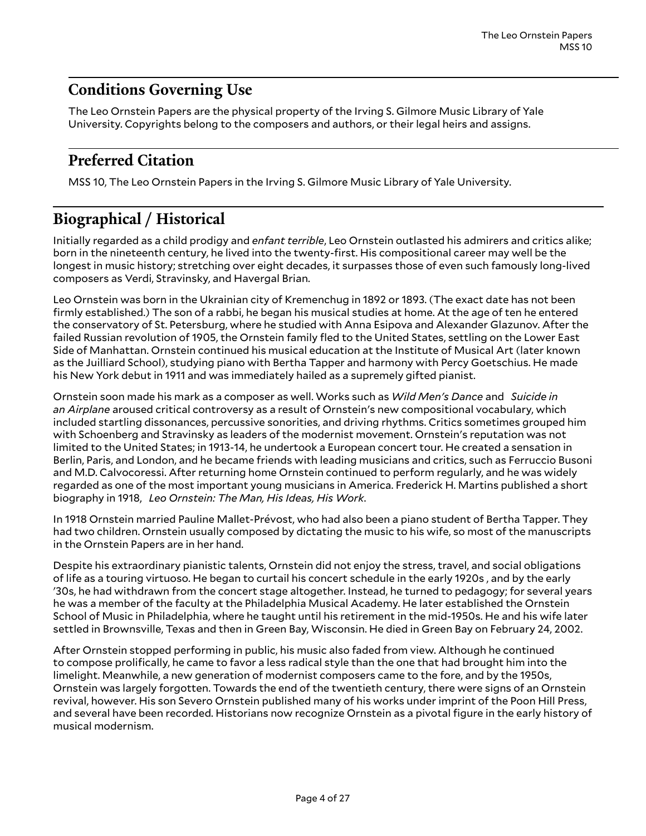# <span id="page-3-0"></span>**Conditions Governing Use**

The Leo Ornstein Papers are the physical property of the Irving S. Gilmore Music Library of Yale University. Copyrights belong to the composers and authors, or their legal heirs and assigns.

# <span id="page-3-1"></span>**Preferred Citation**

MSS 10, The Leo Ornstein Papers in the Irving S. Gilmore Music Library of Yale University.

# <span id="page-3-2"></span>**Biographical / Historical**

Initially regarded as a child prodigy and *enfant terrible*, Leo Ornstein outlasted his admirers and critics alike; born in the nineteenth century, he lived into the twenty-first. His compositional career may well be the longest in music history; stretching over eight decades, it surpasses those of even such famously long-lived composers as Verdi, Stravinsky, and Havergal Brian.

Leo Ornstein was born in the Ukrainian city of Kremenchug in 1892 or 1893. (The exact date has not been firmly established.) The son of a rabbi, he began his musical studies at home. At the age of ten he entered the conservatory of St. Petersburg, where he studied with Anna Esipova and Alexander Glazunov. After the failed Russian revolution of 1905, the Ornstein family fled to the United States, settling on the Lower East Side of Manhattan. Ornstein continued his musical education at the Institute of Musical Art (later known as the Juilliard School), studying piano with Bertha Tapper and harmony with Percy Goetschius. He made his New York debut in 1911 and was immediately hailed as a supremely gifted pianist.

Ornstein soon made his mark as a composer as well. Works such as *Wild Men's Dance* and *Suicide in an Airplane* aroused critical controversy as a result of Ornstein's new compositional vocabulary, which included startling dissonances, percussive sonorities, and driving rhythms. Critics sometimes grouped him with Schoenberg and Stravinsky as leaders of the modernist movement. Ornstein's reputation was not limited to the United States; in 1913-14, he undertook a European concert tour. He created a sensation in Berlin, Paris, and London, and he became friends with leading musicians and critics, such as Ferruccio Busoni and M.D. Calvocoressi. After returning home Ornstein continued to perform regularly, and he was widely regarded as one of the most important young musicians in America. Frederick H. Martins published a short biography in 1918, *Leo Ornstein: The Man, His Ideas, His Work*.

In 1918 Ornstein married Pauline Mallet-Prévost, who had also been a piano student of Bertha Tapper. They had two children. Ornstein usually composed by dictating the music to his wife, so most of the manuscripts in the Ornstein Papers are in her hand.

Despite his extraordinary pianistic talents, Ornstein did not enjoy the stress, travel, and social obligations of life as a touring virtuoso. He began to curtail his concert schedule in the early 1920s , and by the early '30s, he had withdrawn from the concert stage altogether. Instead, he turned to pedagogy; for several years he was a member of the faculty at the Philadelphia Musical Academy. He later established the Ornstein School of Music in Philadelphia, where he taught until his retirement in the mid-1950s. He and his wife later settled in Brownsville, Texas and then in Green Bay, Wisconsin. He died in Green Bay on February 24, 2002.

After Ornstein stopped performing in public, his music also faded from view. Although he continued to compose prolifically, he came to favor a less radical style than the one that had brought him into the limelight. Meanwhile, a new generation of modernist composers came to the fore, and by the 1950s, Ornstein was largely forgotten. Towards the end of the twentieth century, there were signs of an Ornstein revival, however. His son Severo Ornstein published many of his works under imprint of the Poon Hill Press, and several have been recorded. Historians now recognize Ornstein as a pivotal figure in the early history of musical modernism.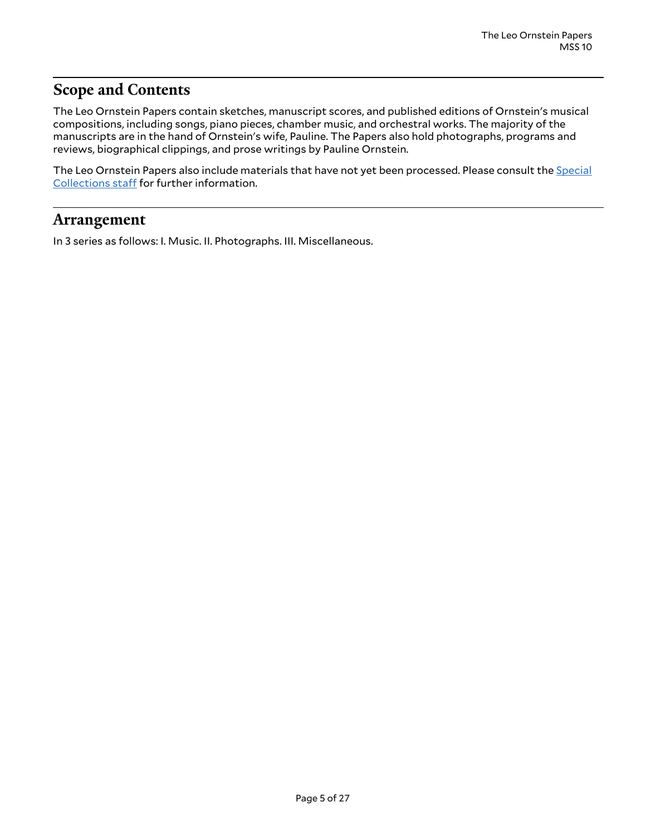# <span id="page-4-0"></span>**Scope and Contents**

The Leo Ornstein Papers contain sketches, manuscript scores, and published editions of Ornstein's musical compositions, including songs, piano pieces, chamber music, and orchestral works. The majority of the manuscripts are in the hand of Ornstein's wife, Pauline. The Papers also hold photographs, programs and reviews, biographical clippings, and prose writings by Pauline Ornstein.

The Leo Ornstein Papers also include materials that have not yet been processed. Please consult the [Special](http://www.library.yale.edu/musiclib) [Collections](http://www.library.yale.edu/musiclib) staff for further information.

### <span id="page-4-1"></span>**Arrangement**

In 3 series as follows: I. Music. II. Photographs. III. Miscellaneous.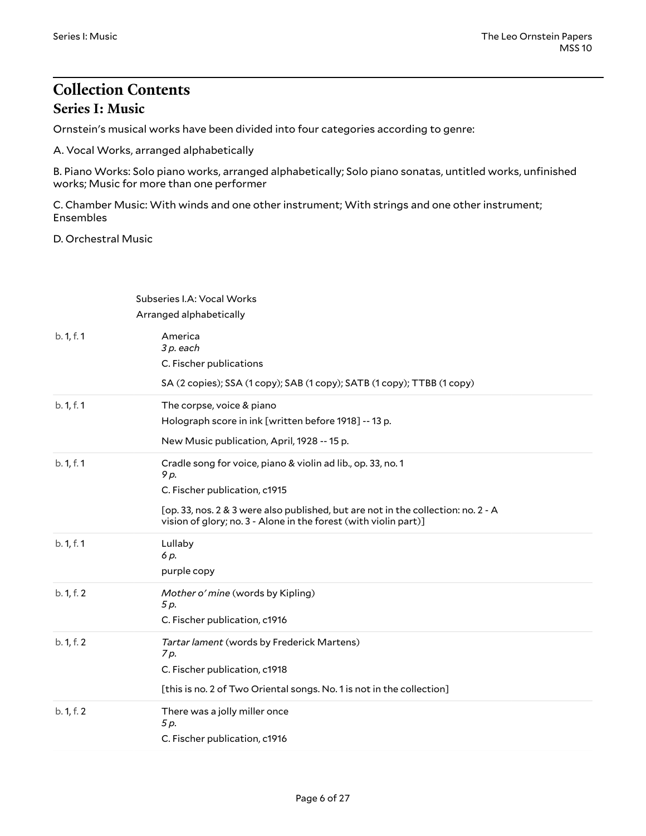# <span id="page-5-1"></span><span id="page-5-0"></span>**Collection Contents Series I: Music**

Ornstein's musical works have been divided into four categories according to genre:

A. Vocal Works, arranged alphabetically

B. Piano Works: Solo piano works, arranged alphabetically; Solo piano sonatas, untitled works, unfinished works; Music for more than one performer

C. Chamber Music: With winds and one other instrument; With strings and one other instrument; Ensembles

D. Orchestral Music

<span id="page-5-2"></span>

|            | Subseries I.A: Vocal Works                                                                                                                                   |
|------------|--------------------------------------------------------------------------------------------------------------------------------------------------------------|
|            | Arranged alphabetically                                                                                                                                      |
| b. 1, f. 1 | America<br>3 p. each<br>C. Fischer publications                                                                                                              |
|            | SA (2 copies); SSA (1 copy); SAB (1 copy); SATB (1 copy); TTBB (1 copy)                                                                                      |
| b. 1, f. 1 | The corpse, voice & piano<br>Holograph score in ink [written before 1918] -- 13 p.                                                                           |
|            | New Music publication, April, 1928 -- 15 p.                                                                                                                  |
| b. 1, f. 1 | Cradle song for voice, piano & violin ad lib., op. 33, no. 1<br>9 p.<br>C. Fischer publication, c1915                                                        |
|            | [op. 33, nos. 2 & 3 were also published, but are not in the collection: no. 2 - A<br>vision of glory; no. 3 - Alone in the forest (with violin part)]        |
| b. 1, f. 1 | Lullaby<br>6 p.<br>purple copy                                                                                                                               |
| b. 1, f. 2 | Mother o' mine (words by Kipling)<br>5 p.<br>C. Fischer publication, c1916                                                                                   |
| b. 1, f. 2 | Tartar lament (words by Frederick Martens)<br>7 p.<br>C. Fischer publication, c1918<br>[this is no. 2 of Two Oriental songs. No. 1 is not in the collection] |
| b. 1, f. 2 | There was a jolly miller once<br>5 p.<br>C. Fischer publication, c1916                                                                                       |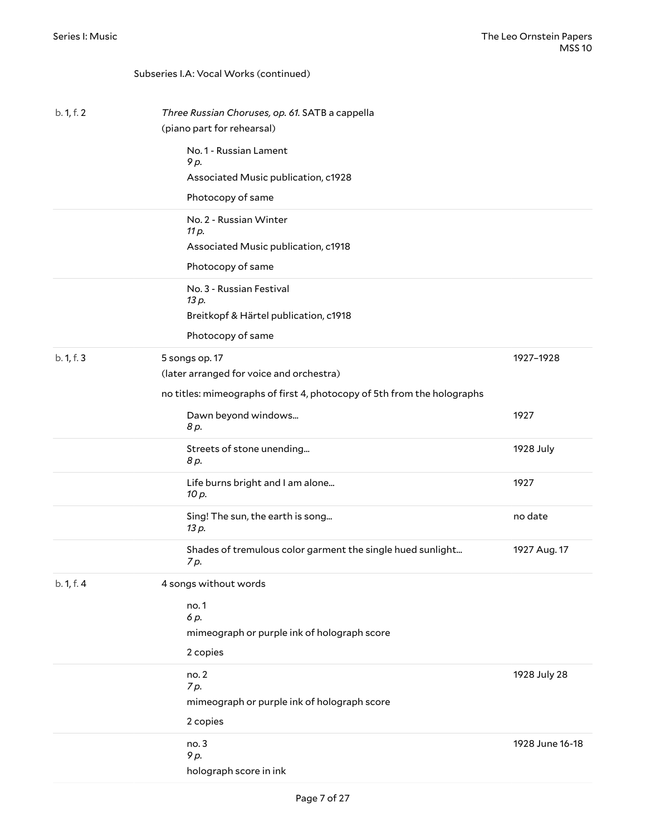Subseries I.A: Vocal Works (continued)

### b. 1, f. 2 *Three Russian Choruses, op. 61.* SATB a cappella (piano part for rehearsal) No. 1 - Russian Lament *9 p.* Associated Music publication, c1928 Photocopy of same No. 2 - Russian Winter *11 p.* Associated Music publication, c1918 Photocopy of same No. 3 - Russian Festival *13 p.* Breitkopf & Härtel publication, c1918 Photocopy of same b. 1, f. 3 5 songs op. 17 (later arranged for voice and orchestra) no titles: mimeographs of first 4, photocopy of 5th from the holographs 1927–1928 Dawn beyond windows... *8 p.* 1927 Streets of stone unending... *8 p.* 1928 July Life burns bright and I am alone... *10 p.* 1927 Sing! The sun, the earth is song... *13 p.* no date Shades of tremulous color garment the single hued sunlight... *7 p.* 1927 Aug. 17 b. 1, f. 4 4 songs without words no. 1 *6 p.* mimeograph or purple ink of holograph score 2 copies no. 2 *7 p.* mimeograph or purple ink of holograph score 2 copies 1928 July 28 no. 3 *9 p.* 1928 June 16-18

holograph score in ink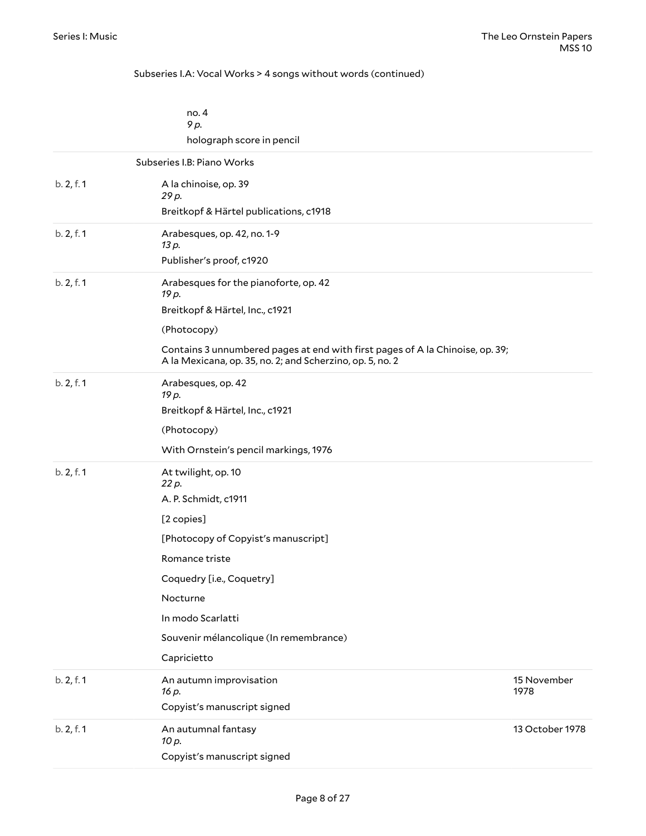#### <span id="page-7-0"></span>Subseries I.A: Vocal Works > 4 songs without words (continued)

|            | no.4<br>9 p.                                                                                                                               |
|------------|--------------------------------------------------------------------------------------------------------------------------------------------|
|            | holograph score in pencil                                                                                                                  |
|            | Subseries I.B: Piano Works                                                                                                                 |
| b. 2, f. 1 | A la chinoise, op. 39                                                                                                                      |
|            | 29 p.                                                                                                                                      |
|            | Breitkopf & Härtel publications, c1918                                                                                                     |
| b. 2, f. 1 | Arabesques, op. 42, no. 1-9<br>13 p.                                                                                                       |
|            | Publisher's proof, c1920                                                                                                                   |
| b. 2, f. 1 | Arabesques for the pianoforte, op. 42<br>19 p.                                                                                             |
|            | Breitkopf & Härtel, Inc., c1921                                                                                                            |
|            | (Photocopy)                                                                                                                                |
|            | Contains 3 unnumbered pages at end with first pages of A la Chinoise, op. 39;<br>A la Mexicana, op. 35, no. 2; and Scherzino, op. 5, no. 2 |
| b. 2, f. 1 | Arabesques, op. 42<br>19 p.                                                                                                                |
|            | Breitkopf & Härtel, Inc., c1921                                                                                                            |
|            | (Photocopy)                                                                                                                                |
|            | With Ornstein's pencil markings, 1976                                                                                                      |
| b. 2, f. 1 | At twilight, op. 10<br>22 p.                                                                                                               |
|            | A. P. Schmidt, c1911                                                                                                                       |
|            | [2 copies]                                                                                                                                 |
|            | [Photocopy of Copyist's manuscript]                                                                                                        |
|            | Romance triste                                                                                                                             |
|            | Coquedry [i.e., Coquetry]                                                                                                                  |
|            | Nocturne                                                                                                                                   |
|            | In modo Scarlatti                                                                                                                          |
|            | Souvenir mélancolique (In remembrance)                                                                                                     |
|            | Capricietto                                                                                                                                |
| b. 2, f. 1 | An autumn improvisation<br>15 November<br>1978<br>16 p.                                                                                    |
|            | Copyist's manuscript signed                                                                                                                |
| b. 2, f. 1 | 13 October 1978<br>An autumnal fantasy<br>10 p.                                                                                            |
|            | Copyist's manuscript signed                                                                                                                |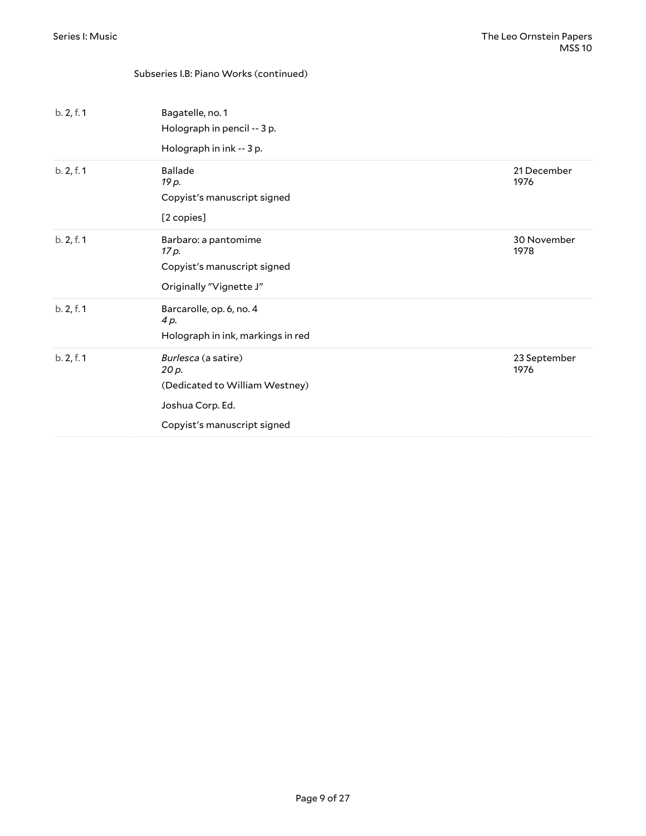| b. 2, f. 1 | Bagatelle, no. 1<br>Holograph in pencil -- 3 p.<br>Holograph in ink -- 3 p.                                       |                      |
|------------|-------------------------------------------------------------------------------------------------------------------|----------------------|
| b. 2, f. 1 | <b>Ballade</b><br>19 p.<br>Copyist's manuscript signed<br>[2 copies]                                              | 21 December<br>1976  |
| b. 2, f. 1 | Barbaro: a pantomime<br>17 p.<br>Copyist's manuscript signed<br>Originally "Vignette J"                           | 30 November<br>1978  |
| b. 2, f. 1 | Barcarolle, op. 6, no. 4<br>4 p.<br>Holograph in ink, markings in red                                             |                      |
| b. 2, f. 1 | Burlesca (a satire)<br>20 p.<br>(Dedicated to William Westney)<br>Joshua Corp. Ed.<br>Copyist's manuscript signed | 23 September<br>1976 |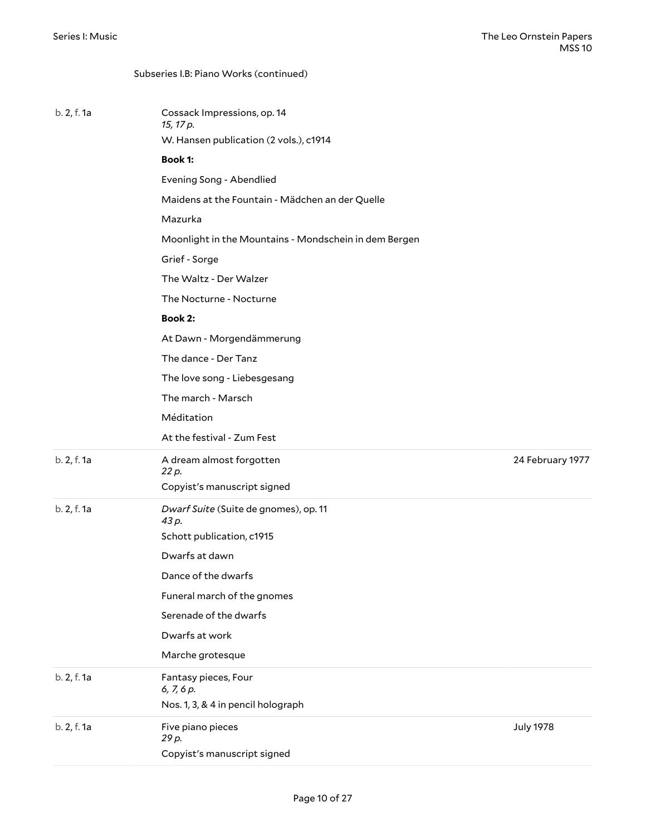|             | Subseries I.B: Piano Works (continued)                |                  |
|-------------|-------------------------------------------------------|------------------|
| b. 2, f. 1a | Cossack Impressions, op. 14<br>15, 17 p.              |                  |
|             | W. Hansen publication (2 vols.), c1914                |                  |
|             | <b>Book 1:</b>                                        |                  |
|             | Evening Song - Abendlied                              |                  |
|             | Maidens at the Fountain - Mädchen an der Quelle       |                  |
|             | Mazurka                                               |                  |
|             | Moonlight in the Mountains - Mondschein in dem Bergen |                  |
|             | Grief - Sorge                                         |                  |
|             | The Waltz - Der Walzer                                |                  |
|             | The Nocturne - Nocturne                               |                  |
|             | <b>Book 2:</b>                                        |                  |
|             | At Dawn - Morgendämmerung                             |                  |
|             | The dance - Der Tanz                                  |                  |
|             | The love song - Liebesgesang                          |                  |
|             | The march - Marsch                                    |                  |
|             | Méditation                                            |                  |
|             | At the festival - Zum Fest                            |                  |
| b. 2, f. 1a | A dream almost forgotten<br>22 p.                     | 24 February 1977 |
|             | Copyist's manuscript signed                           |                  |
| b. 2, f. 1a | Dwarf Suite (Suite de gnomes), op. 11<br>43 p.        |                  |
|             | Schott publication, c1915                             |                  |
|             | Dwarfs at dawn                                        |                  |
|             | Dance of the dwarfs                                   |                  |
|             | Funeral march of the gnomes                           |                  |
|             | Serenade of the dwarfs                                |                  |
|             | Dwarfs at work                                        |                  |
|             | Marche grotesque                                      |                  |
| b. 2, f. 1a | Fantasy pieces, Four<br>6, 7, 6 p.                    |                  |
|             | Nos. 1, 3, & 4 in pencil holograph                    |                  |
| b. 2, f. 1a | Five piano pieces<br>29 p.                            | <b>July 1978</b> |
|             | Copyist's manuscript signed                           |                  |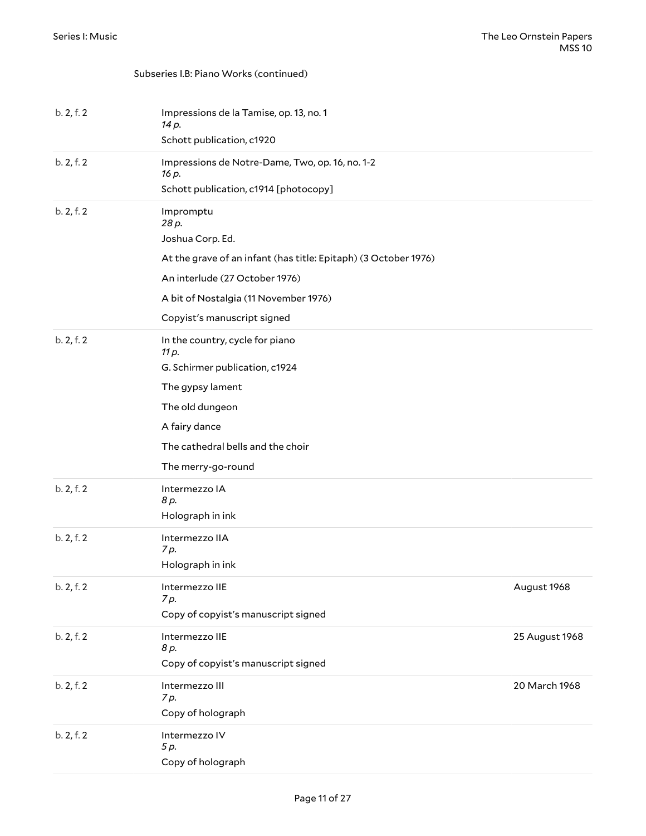| b. 2, f. 2 | Impressions de la Tamise, op. 13, no. 1<br>14 p.<br>Schott publication, c1920 |                |
|------------|-------------------------------------------------------------------------------|----------------|
| b. 2, f. 2 | Impressions de Notre-Dame, Two, op. 16, no. 1-2                               |                |
|            | 16 p.                                                                         |                |
|            | Schott publication, c1914 [photocopy]                                         |                |
| b. 2, f. 2 | Impromptu<br>28 p.                                                            |                |
|            | Joshua Corp. Ed.                                                              |                |
|            | At the grave of an infant (has title: Epitaph) (3 October 1976)               |                |
|            | An interlude (27 October 1976)                                                |                |
|            | A bit of Nostalgia (11 November 1976)                                         |                |
|            | Copyist's manuscript signed                                                   |                |
| b. 2, f. 2 | In the country, cycle for piano<br>11 p.                                      |                |
|            | G. Schirmer publication, c1924                                                |                |
|            | The gypsy lament                                                              |                |
|            | The old dungeon                                                               |                |
|            | A fairy dance                                                                 |                |
|            | The cathedral bells and the choir                                             |                |
|            | The merry-go-round                                                            |                |
| b. 2, f. 2 | Intermezzo IA                                                                 |                |
|            | 8 p.                                                                          |                |
|            | Holograph in ink                                                              |                |
| b. 2, f. 2 | Intermezzo IIA<br>7 p.                                                        |                |
|            | Holograph in ink                                                              |                |
| b. 2, f. 2 | Intermezzo IIE                                                                | August 1968    |
|            | 7 p.                                                                          |                |
|            | Copy of copyist's manuscript signed                                           |                |
| b. 2, f. 2 | Intermezzo IIE<br>8 p.                                                        | 25 August 1968 |
|            | Copy of copyist's manuscript signed                                           |                |
| b. 2, f. 2 | Intermezzo III                                                                | 20 March 1968  |
|            | 7p.                                                                           |                |
|            | Copy of holograph                                                             |                |
| b. 2, f. 2 | Intermezzo IV<br>5 p.                                                         |                |
|            | Copy of holograph                                                             |                |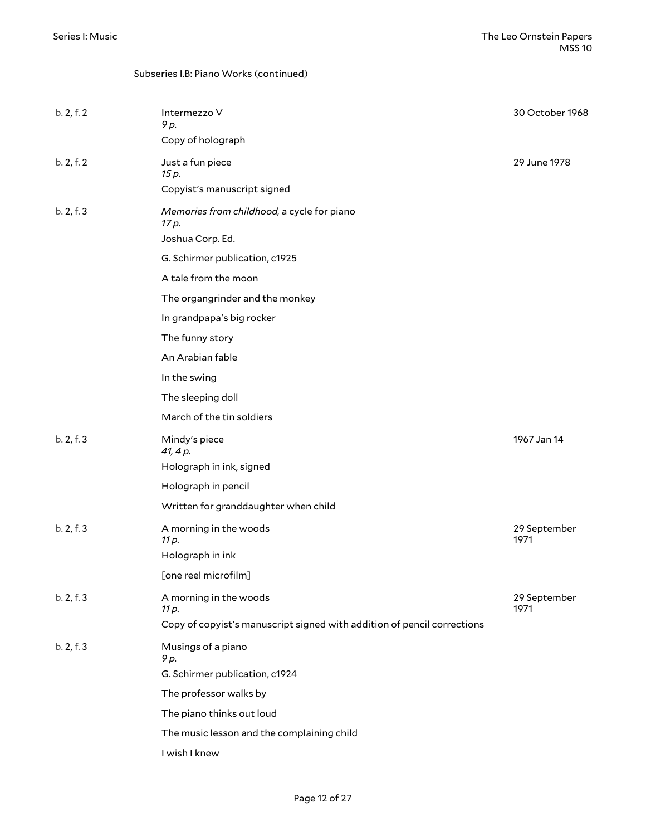| b. 2, f. 2 | Intermezzo V<br>9 p.                                                    | 30 October 1968      |
|------------|-------------------------------------------------------------------------|----------------------|
|            | Copy of holograph                                                       |                      |
| b. 2, f. 2 | Just a fun piece<br>15 p.                                               | 29 June 1978         |
|            | Copyist's manuscript signed                                             |                      |
| b. 2, f. 3 | Memories from childhood, a cycle for piano<br>17 p.                     |                      |
|            | Joshua Corp. Ed.                                                        |                      |
|            | G. Schirmer publication, c1925                                          |                      |
|            | A tale from the moon                                                    |                      |
|            | The organgrinder and the monkey                                         |                      |
|            | In grandpapa's big rocker                                               |                      |
|            | The funny story                                                         |                      |
|            | An Arabian fable                                                        |                      |
|            | In the swing                                                            |                      |
|            | The sleeping doll                                                       |                      |
|            | March of the tin soldiers                                               |                      |
| b. 2, f. 3 | Mindy's piece<br>41, 4 p.                                               | 1967 Jan 14          |
|            | Holograph in ink, signed                                                |                      |
|            | Holograph in pencil                                                     |                      |
|            | Written for granddaughter when child                                    |                      |
| b. 2, f. 3 | A morning in the woods<br>11 p.                                         | 29 September<br>1971 |
|            | Holograph in ink                                                        |                      |
|            | [one reel microfilm]                                                    |                      |
| b. 2, f. 3 | A morning in the woods<br>11 p.                                         | 29 September<br>1971 |
|            | Copy of copyist's manuscript signed with addition of pencil corrections |                      |
| b. 2, f. 3 | Musings of a piano<br>9 p.                                              |                      |
|            | G. Schirmer publication, c1924                                          |                      |
|            | The professor walks by                                                  |                      |
|            | The piano thinks out loud                                               |                      |
|            | The music lesson and the complaining child                              |                      |
|            | I wish I knew                                                           |                      |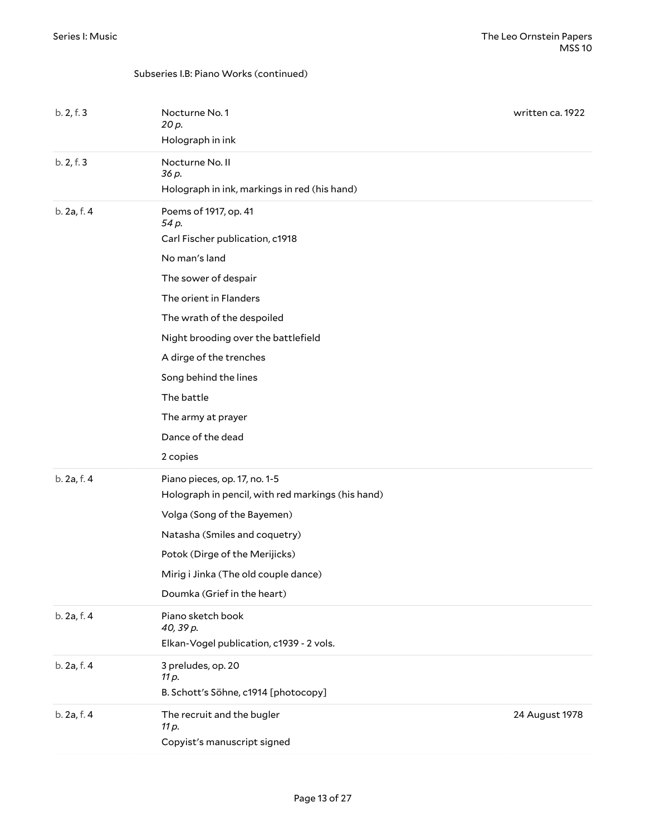| b. 2, f. 3  | Nocturne No. 1<br>20 p.<br>Holograph in ink                                                                                                                                                                                                                 | written ca. 1922 |
|-------------|-------------------------------------------------------------------------------------------------------------------------------------------------------------------------------------------------------------------------------------------------------------|------------------|
| b. 2, f. 3  | Nocturne No. II<br>36 p.<br>Holograph in ink, markings in red (his hand)                                                                                                                                                                                    |                  |
| b. 2a, f. 4 | Poems of 1917, op. 41<br>54 p.<br>Carl Fischer publication, c1918<br>No man's land<br>The sower of despair<br>The orient in Flanders<br>The wrath of the despoiled                                                                                          |                  |
|             | Night brooding over the battlefield<br>A dirge of the trenches<br>Song behind the lines<br>The battle<br>The army at prayer<br>Dance of the dead<br>2 copies                                                                                                |                  |
| b. 2a, f. 4 | Piano pieces, op. 17, no. 1-5<br>Holograph in pencil, with red markings (his hand)<br>Volga (Song of the Bayemen)<br>Natasha (Smiles and coquetry)<br>Potok (Dirge of the Merijicks)<br>Mirig i Jinka (The old couple dance)<br>Doumka (Grief in the heart) |                  |
| b. 2a, f. 4 | Piano sketch book<br>40, 39 p.<br>Elkan-Vogel publication, c1939 - 2 vols.                                                                                                                                                                                  |                  |
| b. 2a, f. 4 | 3 preludes, op. 20<br>11 p.<br>B. Schott's Söhne, c1914 [photocopy]                                                                                                                                                                                         |                  |
| b. 2a, f. 4 | The recruit and the bugler<br>11 p.<br>Copyist's manuscript signed                                                                                                                                                                                          | 24 August 1978   |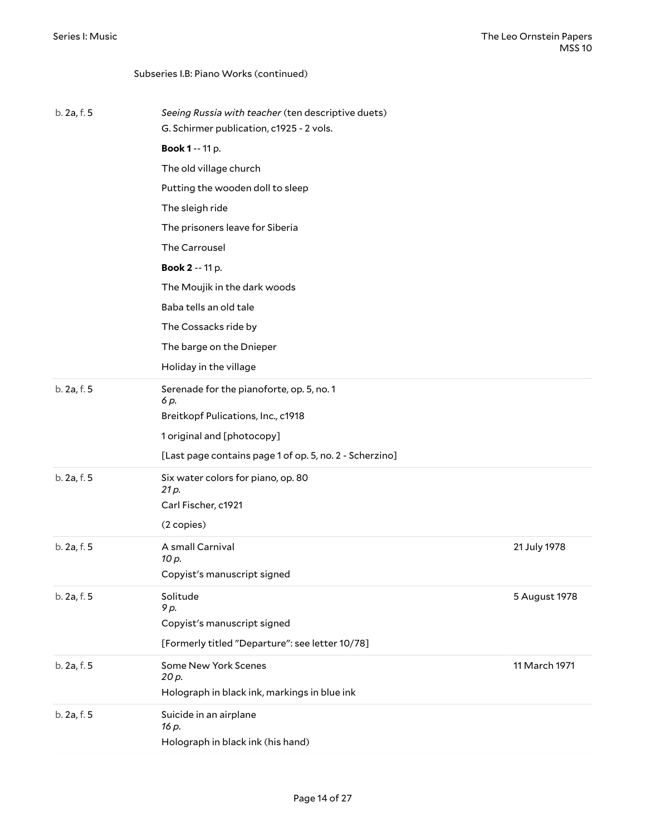| Subseries I.B: Piano Works (continued) |  |
|----------------------------------------|--|
|                                        |  |

| b. 2a, f. 5 | Seeing Russia with teacher (ten descriptive duets)<br>G. Schirmer publication, c1925 - 2 vols. |               |
|-------------|------------------------------------------------------------------------------------------------|---------------|
|             | <b>Book 1 -- 11 p.</b>                                                                         |               |
|             | The old village church                                                                         |               |
|             | Putting the wooden doll to sleep                                                               |               |
|             |                                                                                                |               |
|             | The sleigh ride                                                                                |               |
|             | The prisoners leave for Siberia                                                                |               |
|             | The Carrousel                                                                                  |               |
|             | Book 2 -- 11 p.                                                                                |               |
|             | The Moujik in the dark woods                                                                   |               |
|             | Baba tells an old tale                                                                         |               |
|             | The Cossacks ride by                                                                           |               |
|             | The barge on the Dnieper                                                                       |               |
|             | Holiday in the village                                                                         |               |
| b. 2a, f. 5 | Serenade for the pianoforte, op. 5, no. 1<br>6 p.                                              |               |
|             | Breitkopf Pulications, Inc., c1918                                                             |               |
|             | 1 original and [photocopy]                                                                     |               |
|             | [Last page contains page 1 of op. 5, no. 2 - Scherzino]                                        |               |
| b. 2a, f. 5 | Six water colors for piano, op. 80<br>21 p.                                                    |               |
|             | Carl Fischer, c1921                                                                            |               |
|             | (2 copies)                                                                                     |               |
| b. 2a, f. 5 | A small Carnival<br>10 p.                                                                      | 21 July 1978  |
|             | Copyist's manuscript signed                                                                    |               |
| b. 2a, f. 5 | Solitude<br>9 p.                                                                               | 5 August 1978 |
|             | Copyist's manuscript signed                                                                    |               |
|             | [Formerly titled "Departure": see letter 10/78]                                                |               |
| b. 2a, f. 5 | Some New York Scenes<br>20 p.                                                                  | 11 March 1971 |
|             | Holograph in black ink, markings in blue ink                                                   |               |
| b. 2a, f. 5 | Suicide in an airplane<br>16 p.                                                                |               |
|             | Holograph in black ink (his hand)                                                              |               |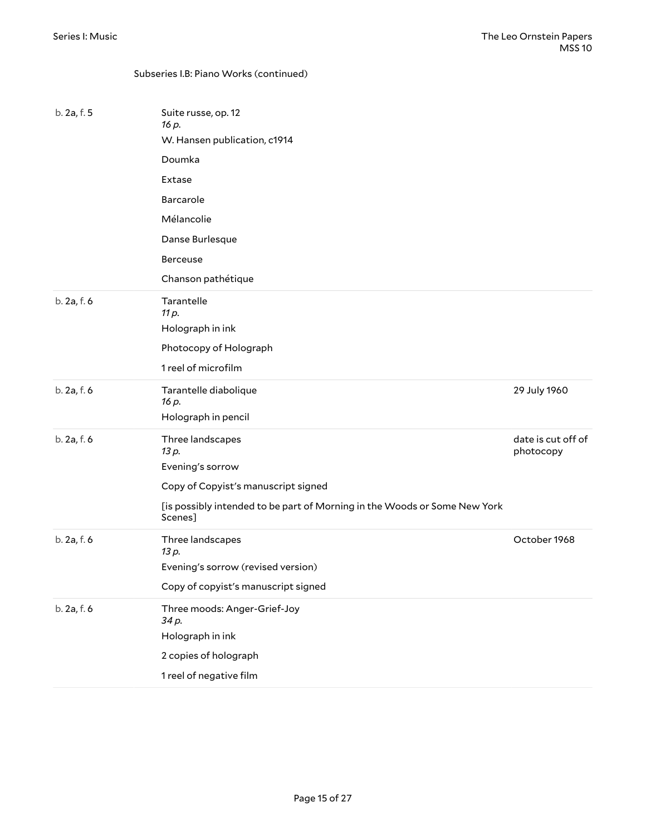| b. 2a, f. 5 | Suite russe, op. 12<br>16 p.                                                         |                                 |
|-------------|--------------------------------------------------------------------------------------|---------------------------------|
|             | W. Hansen publication, c1914                                                         |                                 |
|             | Doumka                                                                               |                                 |
|             | Extase                                                                               |                                 |
|             | Barcarole                                                                            |                                 |
|             | Mélancolie                                                                           |                                 |
|             | Danse Burlesque                                                                      |                                 |
|             | Berceuse                                                                             |                                 |
|             | Chanson pathétique                                                                   |                                 |
| b. 2a, f. 6 | Tarantelle<br>11 p.                                                                  |                                 |
|             | Holograph in ink                                                                     |                                 |
|             | Photocopy of Holograph                                                               |                                 |
|             | 1 reel of microfilm                                                                  |                                 |
| b. 2a, f. 6 | Tarantelle diabolique<br>16 p.                                                       | 29 July 1960                    |
|             | Holograph in pencil                                                                  |                                 |
| b. 2a, f. 6 | Three landscapes<br>13 p.                                                            | date is cut off of<br>photocopy |
|             | Evening's sorrow                                                                     |                                 |
|             | Copy of Copyist's manuscript signed                                                  |                                 |
|             | [is possibly intended to be part of Morning in the Woods or Some New York<br>Scenes] |                                 |
| b. 2a, f. 6 | Three landscapes<br>13 p.                                                            | October 1968                    |
|             | Evening's sorrow (revised version)                                                   |                                 |
|             | Copy of copyist's manuscript signed                                                  |                                 |
| b. 2a, f. 6 | Three moods: Anger-Grief-Joy<br>34 p.                                                |                                 |
|             | Holograph in ink                                                                     |                                 |
|             | 2 copies of holograph                                                                |                                 |
|             | 1 reel of negative film                                                              |                                 |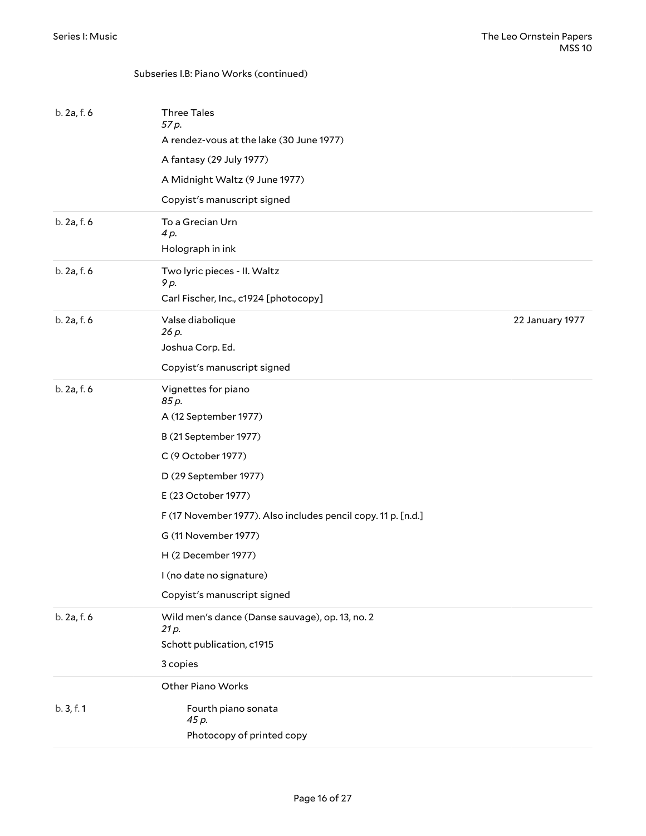| b. 2a, f. 6 | <b>Three Tales</b><br>57 p.                                   |                 |
|-------------|---------------------------------------------------------------|-----------------|
|             | A rendez-vous at the lake (30 June 1977)                      |                 |
|             | A fantasy (29 July 1977)                                      |                 |
|             | A Midnight Waltz (9 June 1977)                                |                 |
|             | Copyist's manuscript signed                                   |                 |
| b. 2a, f. 6 | To a Grecian Urn<br>4 p.                                      |                 |
|             | Holograph in ink                                              |                 |
| b. 2a, f. 6 | Two lyric pieces - II. Waltz<br>9 p.                          |                 |
|             | Carl Fischer, Inc., c1924 [photocopy]                         |                 |
| b. 2a, f. 6 | Valse diabolique<br>26 p.                                     | 22 January 1977 |
|             | Joshua Corp. Ed.                                              |                 |
|             | Copyist's manuscript signed                                   |                 |
| b. 2a, f. 6 | Vignettes for piano<br>85 p.                                  |                 |
|             | A (12 September 1977)                                         |                 |
|             | B (21 September 1977)                                         |                 |
|             | C (9 October 1977)                                            |                 |
|             | D (29 September 1977)                                         |                 |
|             | E (23 October 1977)                                           |                 |
|             | F (17 November 1977). Also includes pencil copy. 11 p. [n.d.] |                 |
|             | G (11 November 1977)                                          |                 |
|             | H (2 December 1977)                                           |                 |
|             | I (no date no signature)                                      |                 |
|             | Copyist's manuscript signed                                   |                 |
| b. 2a, f. 6 | Wild men's dance (Danse sauvage), op. 13, no. 2<br>21 p.      |                 |
|             | Schott publication, c1915                                     |                 |
|             | 3 copies                                                      |                 |
|             | Other Piano Works                                             |                 |
| b. 3, f. 1  | Fourth piano sonata<br>45 p.                                  |                 |
|             | Photocopy of printed copy                                     |                 |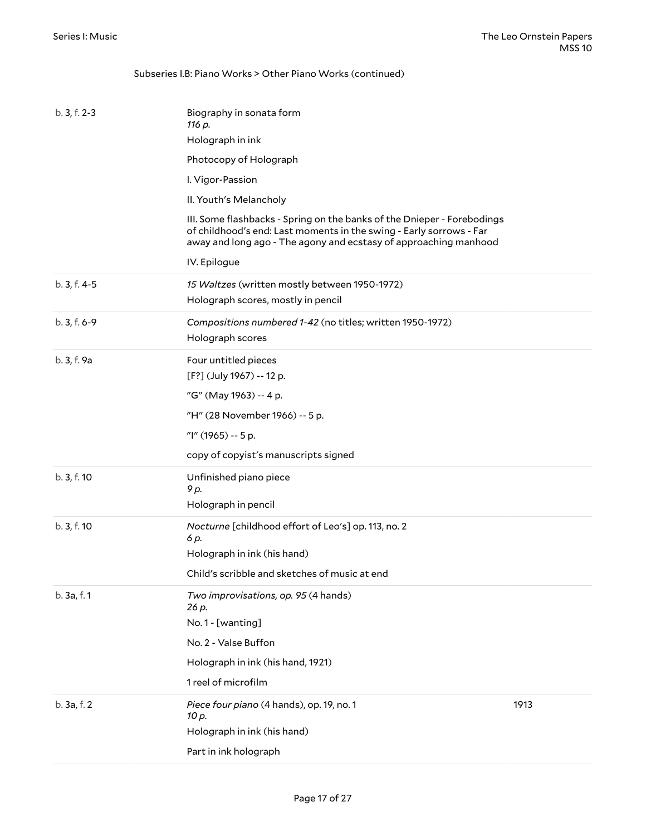| b. 3, f. 2-3 | Biography in sonata form<br>116 p.                                                                                                                                                                                 |      |
|--------------|--------------------------------------------------------------------------------------------------------------------------------------------------------------------------------------------------------------------|------|
|              | Holograph in ink                                                                                                                                                                                                   |      |
|              | Photocopy of Holograph                                                                                                                                                                                             |      |
|              | I. Vigor-Passion                                                                                                                                                                                                   |      |
|              | II. Youth's Melancholy                                                                                                                                                                                             |      |
|              | III. Some flashbacks - Spring on the banks of the Dnieper - Forebodings<br>of childhood's end: Last moments in the swing - Early sorrows - Far<br>away and long ago - The agony and ecstasy of approaching manhood |      |
|              | IV. Epilogue                                                                                                                                                                                                       |      |
| b. 3, f. 4-5 | 15 Waltzes (written mostly between 1950-1972)<br>Holograph scores, mostly in pencil                                                                                                                                |      |
| b. 3, f. 6-9 | Compositions numbered 1-42 (no titles; written 1950-1972)<br>Holograph scores                                                                                                                                      |      |
| b. 3, f. 9a  | Four untitled pieces                                                                                                                                                                                               |      |
|              | [F?] (July 1967) -- 12 p.                                                                                                                                                                                          |      |
|              | "G" (May 1963) -- 4 p.                                                                                                                                                                                             |      |
|              | "H" (28 November 1966) -- 5 p.                                                                                                                                                                                     |      |
|              | "I" (1965) -- 5 p.                                                                                                                                                                                                 |      |
|              | copy of copyist's manuscripts signed                                                                                                                                                                               |      |
| b. 3, f. 10  | Unfinished piano piece<br>9 p.                                                                                                                                                                                     |      |
|              | Holograph in pencil                                                                                                                                                                                                |      |
| b. 3, f. 10  | Nocturne [childhood effort of Leo's] op. 113, no. 2<br>6 p.                                                                                                                                                        |      |
|              | Holograph in ink (his hand)                                                                                                                                                                                        |      |
|              | Child's scribble and sketches of music at end                                                                                                                                                                      |      |
| b. 3a, f. 1  | Two improvisations, op. 95 (4 hands)<br>26 p.                                                                                                                                                                      |      |
|              | No.1 - [wanting]                                                                                                                                                                                                   |      |
|              | No. 2 - Valse Buffon                                                                                                                                                                                               |      |
|              | Holograph in ink (his hand, 1921)                                                                                                                                                                                  |      |
|              | 1 reel of microfilm                                                                                                                                                                                                |      |
| b. 3a, f. 2  | Piece four piano (4 hands), op. 19, no. 1<br>10 p.                                                                                                                                                                 | 1913 |
|              | Holograph in ink (his hand)                                                                                                                                                                                        |      |
|              | Part in ink holograph                                                                                                                                                                                              |      |

Subseries I.B: Piano Works > Other Piano Works (continued)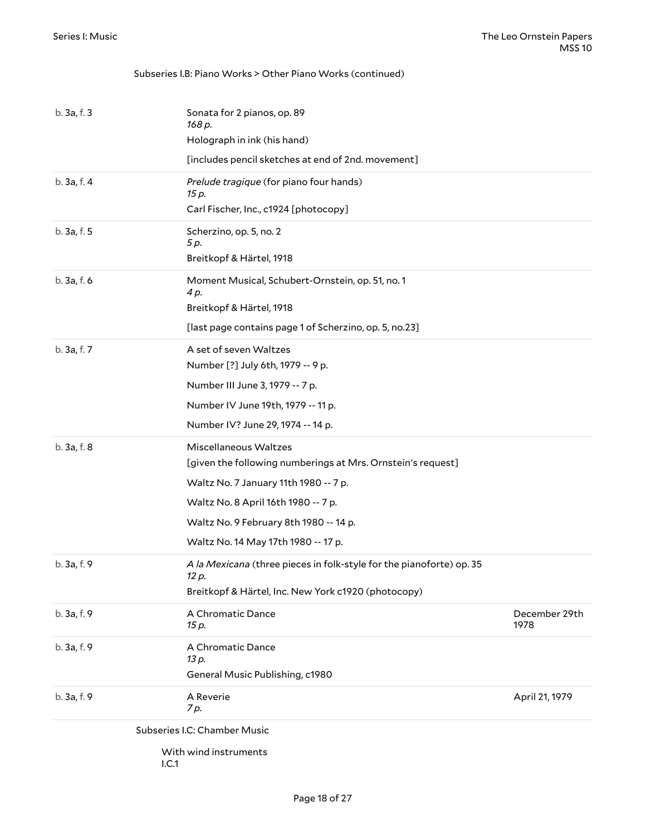#### Subseries I.B: Piano Works > Other Piano Works (continued)

|             | Subseries I.C: Chamber Music<br>With wind instruments                                                                                |                       |
|-------------|--------------------------------------------------------------------------------------------------------------------------------------|-----------------------|
| b. 3a, f. 9 | A Reverie<br>7 p.                                                                                                                    | April 21, 1979        |
| b. 3a, f. 9 | A Chromatic Dance<br>13 p.<br>General Music Publishing, c1980                                                                        |                       |
| b. 3a, f. 9 | A Chromatic Dance<br>15 p.                                                                                                           | December 29th<br>1978 |
| b. 3a, f. 9 | A la Mexicana (three pieces in folk-style for the pianoforte) op. 35<br>12 p.<br>Breitkopf & Härtel, Inc. New York c1920 (photocopy) |                       |
|             | Waltz No. 9 February 8th 1980 -- 14 p.<br>Waltz No. 14 May 17th 1980 -- 17 p.                                                        |                       |
|             | Waltz No. 8 April 16th 1980 -- 7 p.                                                                                                  |                       |
|             | Waltz No. 7 January 11th 1980 -- 7 p.                                                                                                |                       |
|             | [given the following numberings at Mrs. Ornstein's request]                                                                          |                       |
| b. 3a, f. 8 | Miscellaneous Waltzes                                                                                                                |                       |
|             | Number IV? June 29, 1974 -- 14 p.                                                                                                    |                       |
|             | Number IV June 19th, 1979 -- 11 p.                                                                                                   |                       |
|             | Number III June 3, 1979 -- 7 p.                                                                                                      |                       |
|             | Number [?] July 6th, 1979 -- 9 p.                                                                                                    |                       |
| b. 3a, f. 7 | A set of seven Waltzes                                                                                                               |                       |
|             | [last page contains page 1 of Scherzino, op. 5, no.23]                                                                               |                       |
|             | Breitkopf & Härtel, 1918                                                                                                             |                       |
| b. 3a, f. 6 | Moment Musical, Schubert-Ornstein, op. 51, no. 1<br>4 p.                                                                             |                       |
|             | Breitkopf & Härtel, 1918                                                                                                             |                       |
| b. 3a, f. 5 | Scherzino, op. 5, no. 2<br>5 p.                                                                                                      |                       |
|             | Carl Fischer, Inc., c1924 [photocopy]                                                                                                |                       |
| b.3a.f.4    | Prelude tragique (for piano four hands)<br>15 p.                                                                                     |                       |
|             | [includes pencil sketches at end of 2nd. movement]                                                                                   |                       |
|             | Holograph in ink (his hand)                                                                                                          |                       |
| b.3a.f.3    | Sonata for 2 pianos, op. 89<br>168 p.                                                                                                |                       |
|             |                                                                                                                                      |                       |

<span id="page-17-0"></span>I.C.1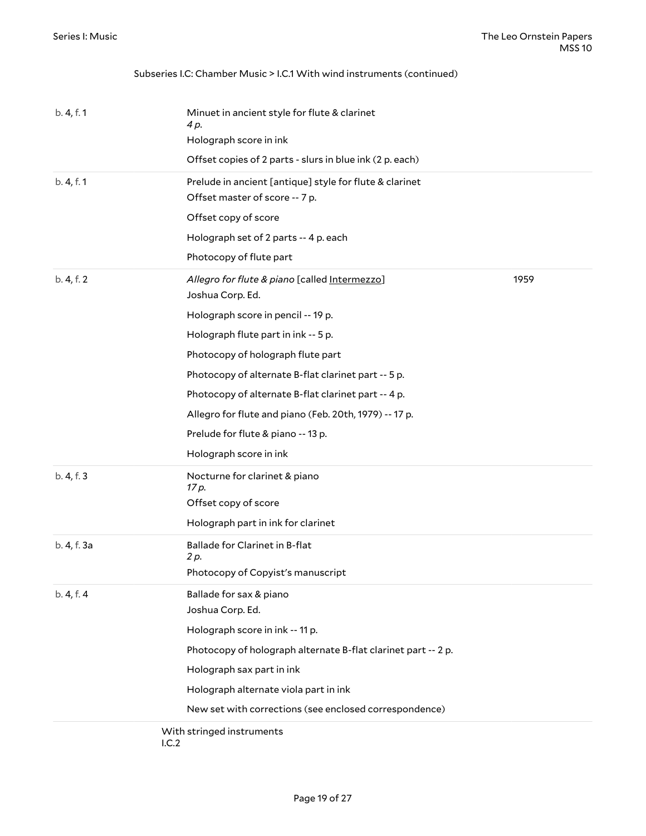#### Subseries I.C: Chamber Music > I.C.1 With wind instruments (continued)

| b. 4, f. 1  | Minuet in ancient style for flute & clarinet<br>4 p.                                      |      |
|-------------|-------------------------------------------------------------------------------------------|------|
|             | Holograph score in ink                                                                    |      |
|             | Offset copies of 2 parts - slurs in blue ink (2 p. each)                                  |      |
| b. 4, f. 1  | Prelude in ancient [antique] style for flute & clarinet<br>Offset master of score -- 7 p. |      |
|             | Offset copy of score                                                                      |      |
|             | Holograph set of 2 parts -- 4 p. each                                                     |      |
|             | Photocopy of flute part                                                                   |      |
| b. 4, f. 2  | Allegro for flute & piano [called Intermezzo]<br>Joshua Corp. Ed.                         | 1959 |
|             | Holograph score in pencil -- 19 p.                                                        |      |
|             | Holograph flute part in ink -- 5 p.                                                       |      |
|             | Photocopy of holograph flute part                                                         |      |
|             | Photocopy of alternate B-flat clarinet part -- 5 p.                                       |      |
|             | Photocopy of alternate B-flat clarinet part -- 4 p.                                       |      |
|             | Allegro for flute and piano (Feb. 20th, 1979) -- 17 p.                                    |      |
|             | Prelude for flute & piano -- 13 p.                                                        |      |
|             | Holograph score in ink                                                                    |      |
| b. 4, f. 3  | Nocturne for clarinet & piano<br>17 p.                                                    |      |
|             | Offset copy of score                                                                      |      |
|             | Holograph part in ink for clarinet                                                        |      |
| b. 4, f. 3a | Ballade for Clarinet in B-flat<br>2 p.                                                    |      |
|             | Photocopy of Copyist's manuscript                                                         |      |
| b. 4, f. 4  | Ballade for sax & piano                                                                   |      |
|             | Joshua Corp. Ed.                                                                          |      |
|             | Holograph score in ink -- 11 p.                                                           |      |
|             | Photocopy of holograph alternate B-flat clarinet part -- 2 p.                             |      |
|             | Holograph sax part in ink                                                                 |      |
|             | Holograph alternate viola part in ink                                                     |      |
|             | New set with corrections (see enclosed correspondence)                                    |      |
|             | With stringed instruments                                                                 |      |

I.C.2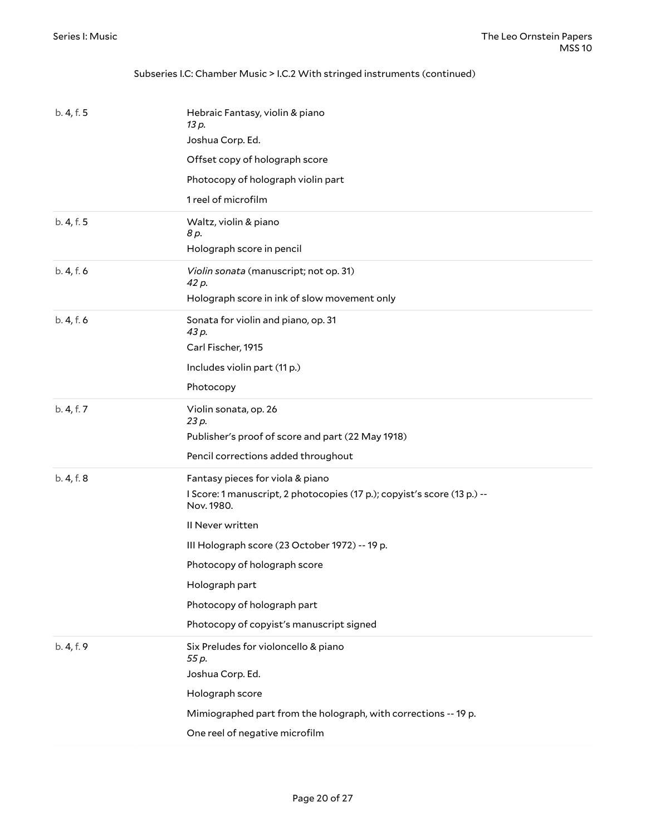#### Subseries I.C: Chamber Music > I.C.2 With stringed instruments (continued)

| b. 4, f. 5 | Hebraic Fantasy, violin & piano<br>13 p.<br>Joshua Corp. Ed.                           |
|------------|----------------------------------------------------------------------------------------|
|            | Offset copy of holograph score                                                         |
|            | Photocopy of holograph violin part                                                     |
|            | 1 reel of microfilm                                                                    |
| b. 4, f. 5 | Waltz, violin & piano<br>8 p.                                                          |
|            | Holograph score in pencil                                                              |
| b. 4, f. 6 | Violin sonata (manuscript; not op. 31)<br>42 p.                                        |
|            | Holograph score in ink of slow movement only                                           |
| b. 4, f. 6 | Sonata for violin and piano, op. 31<br>43 p.                                           |
|            | Carl Fischer, 1915                                                                     |
|            | Includes violin part (11 p.)                                                           |
|            | Photocopy                                                                              |
| b. 4, f. 7 | Violin sonata, op. 26<br>23 p.                                                         |
|            | Publisher's proof of score and part (22 May 1918)                                      |
|            | Pencil corrections added throughout                                                    |
| b. 4, f. 8 |                                                                                        |
|            | Fantasy pieces for viola & piano                                                       |
|            | I Score: 1 manuscript, 2 photocopies (17 p.); copyist's score (13 p.) --<br>Nov. 1980. |
|            | II Never written                                                                       |
|            | III Holograph score (23 October 1972) -- 19 p.                                         |
|            | Photocopy of holograph score                                                           |
|            | Holograph part                                                                         |
|            | Photocopy of holograph part                                                            |
|            | Photocopy of copyist's manuscript signed                                               |
| b. 4, f. 9 | Six Preludes for violoncello & piano<br>55 p.                                          |
|            | Joshua Corp. Ed.                                                                       |
|            | Holograph score                                                                        |
|            | Mimiographed part from the holograph, with corrections -- 19 p.                        |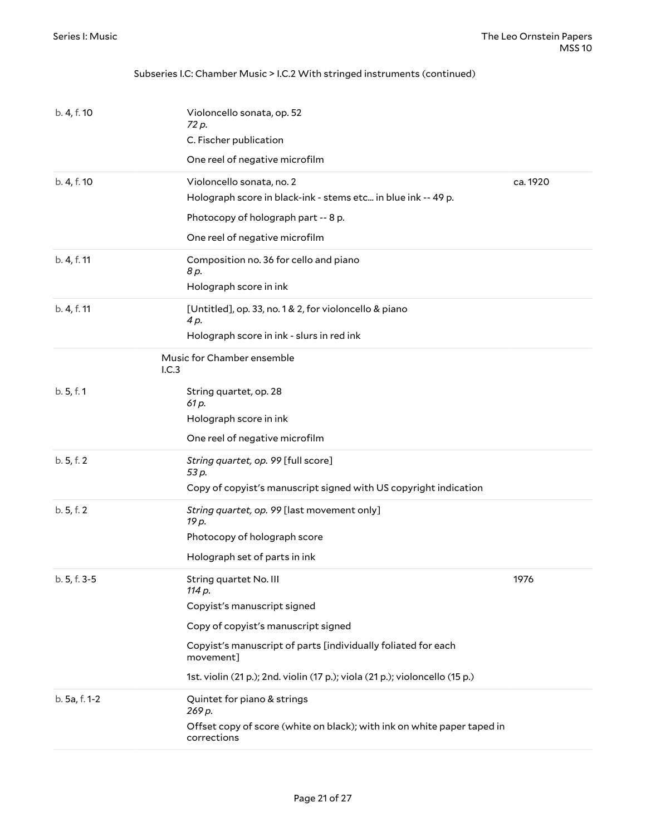#### Subseries I.C: Chamber Music > I.C.2 With stringed instruments (continued)

| b. 4, f. 10   | Violoncello sonata, op. 52<br>72 p.<br>C. Fischer publication                              |          |
|---------------|--------------------------------------------------------------------------------------------|----------|
|               | One reel of negative microfilm                                                             |          |
| b. 4, f. 10   | Violoncello sonata, no. 2<br>Holograph score in black-ink - stems etc in blue ink -- 49 p. | ca. 1920 |
|               | Photocopy of holograph part -- 8 p.                                                        |          |
|               | One reel of negative microfilm                                                             |          |
| b. 4, f. 11   | Composition no. 36 for cello and piano<br>8 p.                                             |          |
|               | Holograph score in ink                                                                     |          |
| b. 4, f. 11   | [Untitled], op. 33, no. 1 & 2, for violoncello & piano<br>4 p.                             |          |
|               | Holograph score in ink - slurs in red ink                                                  |          |
| 1.C.3         | Music for Chamber ensemble                                                                 |          |
| b.5, f.1      | String quartet, op. 28<br>61 p.                                                            |          |
|               | Holograph score in ink                                                                     |          |
|               | One reel of negative microfilm                                                             |          |
| b. 5, f. 2    | String quartet, op. 99 [full score]<br>53 p.                                               |          |
|               | Copy of copyist's manuscript signed with US copyright indication                           |          |
| b. 5, f. 2    | String quartet, op. 99 [last movement only]<br>19 p.                                       |          |
|               | Photocopy of holograph score                                                               |          |
|               | Holograph set of parts in ink                                                              |          |
| b. 5, f. 3-5  | String quartet No. III<br>114 p.                                                           | 1976     |
|               | Copyist's manuscript signed                                                                |          |
|               | Copy of copyist's manuscript signed                                                        |          |
|               | Copyist's manuscript of parts [individually foliated for each<br>movement]                 |          |
|               | 1st. violin (21 p.); 2nd. violin (17 p.); viola (21 p.); violoncello (15 p.)               |          |
| b. 5a, f. 1-2 | Quintet for piano & strings<br>269 p.                                                      |          |
|               | Offset copy of score (white on black); with ink on white paper taped in<br>corrections     |          |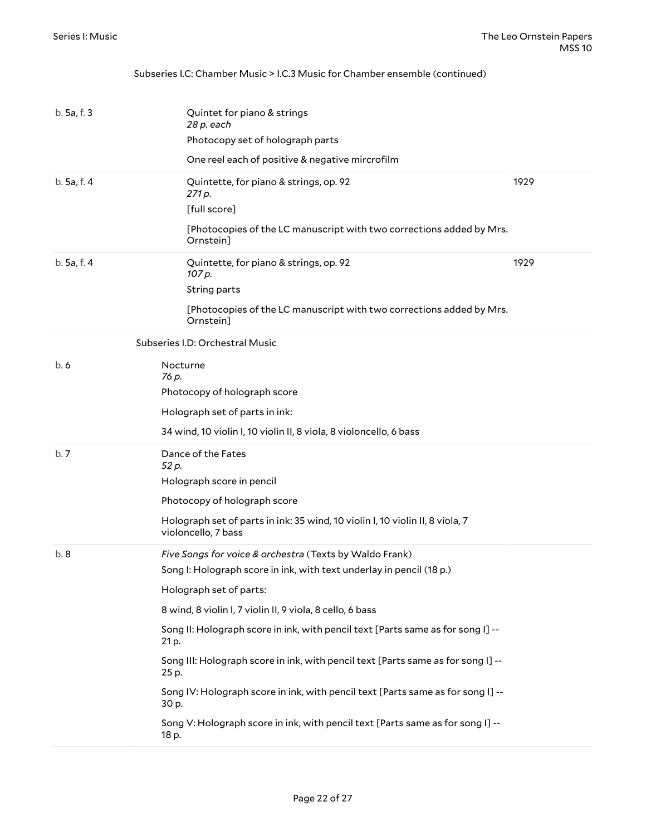#### Subseries I.C: Chamber Music > I.C.3 Music for Chamber ensemble (continued)

<span id="page-21-0"></span>

| b.5a.f.3    | Quintet for piano & strings<br>28 p. each<br>Photocopy set of holograph parts                        |      |
|-------------|------------------------------------------------------------------------------------------------------|------|
|             | One reel each of positive & negative mircrofilm                                                      |      |
| b. 5a, f. 4 | Quintette, for piano & strings, op. 92<br>271 p.                                                     | 1929 |
|             | [full score]                                                                                         |      |
|             | [Photocopies of the LC manuscript with two corrections added by Mrs.<br>Ornstein]                    |      |
| b. 5a, f. 4 | Quintette, for piano & strings, op. 92<br>107 p.                                                     | 1929 |
|             | String parts                                                                                         |      |
|             | [Photocopies of the LC manuscript with two corrections added by Mrs.<br>Ornstein]                    |      |
|             | Subseries I.D: Orchestral Music                                                                      |      |
| b.6         | Nocturne<br>76 p.                                                                                    |      |
|             | Photocopy of holograph score                                                                         |      |
|             | Holograph set of parts in ink:                                                                       |      |
|             | 34 wind, 10 violin I, 10 violin II, 8 viola, 8 violoncello, 6 bass                                   |      |
| b.7         | Dance of the Fates<br>52 p.                                                                          |      |
|             | Holograph score in pencil                                                                            |      |
|             | Photocopy of holograph score                                                                         |      |
|             | Holograph set of parts in ink: 35 wind, 10 violin I, 10 violin II, 8 viola, 7<br>violoncello, 7 bass |      |
| b.8         | Five Songs for voice & orchestra (Texts by Waldo Frank)                                              |      |
|             | Song I: Holograph score in ink, with text underlay in pencil (18 p.)                                 |      |
|             | Holograph set of parts:                                                                              |      |
|             | 8 wind, 8 violin I, 7 violin II, 9 viola, 8 cello, 6 bass                                            |      |
|             | Song II: Holograph score in ink, with pencil text [Parts same as for song I] --<br>21 p.             |      |
|             | Song III: Holograph score in ink, with pencil text [Parts same as for song I] --<br>25 p.            |      |
|             | Song IV: Holograph score in ink, with pencil text [Parts same as for song I] --<br>30 p.             |      |
|             | Song V: Holograph score in ink, with pencil text [Parts same as for song I] --<br>18 p.              |      |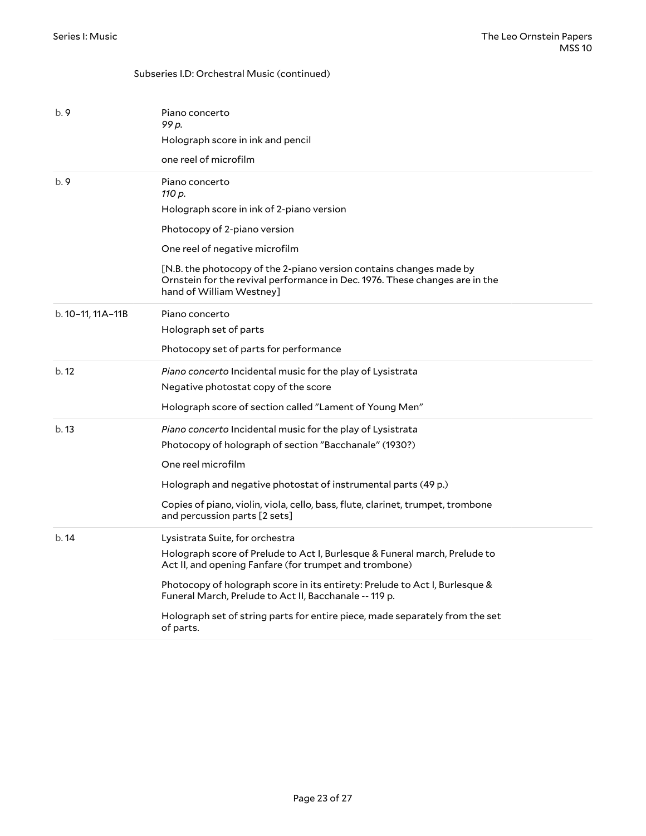#### Subseries I.D: Orchestral Music (continued)

| b. 9              | Piano concerto<br>99 p.<br>Holograph score in ink and pencil<br>one reel of microfilm                                                                                                                                                                                                                                                                                                                         |
|-------------------|---------------------------------------------------------------------------------------------------------------------------------------------------------------------------------------------------------------------------------------------------------------------------------------------------------------------------------------------------------------------------------------------------------------|
| b.9               | Piano concerto<br>110 p.<br>Holograph score in ink of 2-piano version<br>Photocopy of 2-piano version<br>One reel of negative microfilm<br>[N.B. the photocopy of the 2-piano version contains changes made by<br>Ornstein for the revival performance in Dec. 1976. These changes are in the<br>hand of William Westney]                                                                                     |
| b. 10-11, 11A-11B | Piano concerto<br>Holograph set of parts<br>Photocopy set of parts for performance                                                                                                                                                                                                                                                                                                                            |
| b.12              | Piano concerto Incidental music for the play of Lysistrata<br>Negative photostat copy of the score<br>Holograph score of section called "Lament of Young Men"                                                                                                                                                                                                                                                 |
| b.13              | Piano concerto Incidental music for the play of Lysistrata<br>Photocopy of holograph of section "Bacchanale" (1930?)<br>One reel microfilm<br>Holograph and negative photostat of instrumental parts (49 p.)<br>Copies of piano, violin, viola, cello, bass, flute, clarinet, trumpet, trombone<br>and percussion parts [2 sets]                                                                              |
| b.14              | Lysistrata Suite, for orchestra<br>Holograph score of Prelude to Act I, Burlesque & Funeral march, Prelude to<br>Act II, and opening Fanfare (for trumpet and trombone)<br>Photocopy of holograph score in its entirety: Prelude to Act I, Burlesque &<br>Funeral March, Prelude to Act II, Bacchanale -- 119 p.<br>Holograph set of string parts for entire piece, made separately from the set<br>of parts. |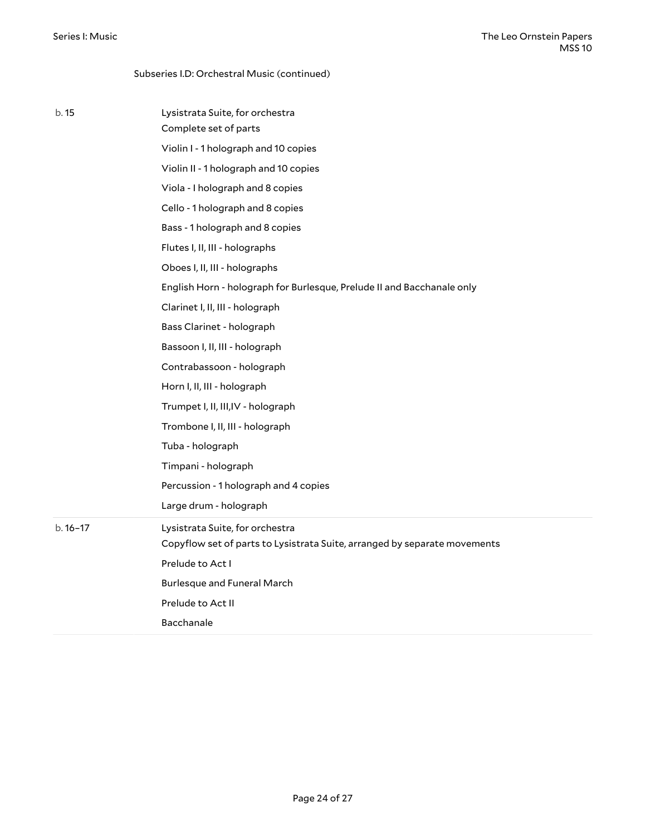|           | Subseries I.D: Orchestral Music (continued)                                                                  |
|-----------|--------------------------------------------------------------------------------------------------------------|
| b. 15     | Lysistrata Suite, for orchestra<br>Complete set of parts                                                     |
|           | Violin I - 1 holograph and 10 copies                                                                         |
|           | Violin II - 1 holograph and 10 copies                                                                        |
|           | Viola - I holograph and 8 copies                                                                             |
|           | Cello - 1 holograph and 8 copies                                                                             |
|           | Bass - 1 holograph and 8 copies                                                                              |
|           | Flutes I, II, III - holographs                                                                               |
|           | Oboes I, II, III - holographs                                                                                |
|           | English Horn - holograph for Burlesque, Prelude II and Bacchanale only                                       |
|           | Clarinet I, II, III - holograph                                                                              |
|           | Bass Clarinet - holograph                                                                                    |
|           | Bassoon I, II, III - holograph                                                                               |
|           | Contrabassoon - holograph                                                                                    |
|           | Horn I, II, III - holograph                                                                                  |
|           | Trumpet I, II, III, IV - holograph                                                                           |
|           | Trombone I, II, III - holograph                                                                              |
|           | Tuba - holograph                                                                                             |
|           | Timpani - holograph                                                                                          |
|           | Percussion - 1 holograph and 4 copies                                                                        |
|           | Large drum - holograph                                                                                       |
|           |                                                                                                              |
| $b.16-17$ | Lysistrata Suite, for orchestra<br>Copyflow set of parts to Lysistrata Suite, arranged by separate movements |
|           | Prelude to Act I                                                                                             |
|           | <b>Burlesque and Funeral March</b>                                                                           |
|           | Prelude to Act II                                                                                            |
|           | Bacchanale                                                                                                   |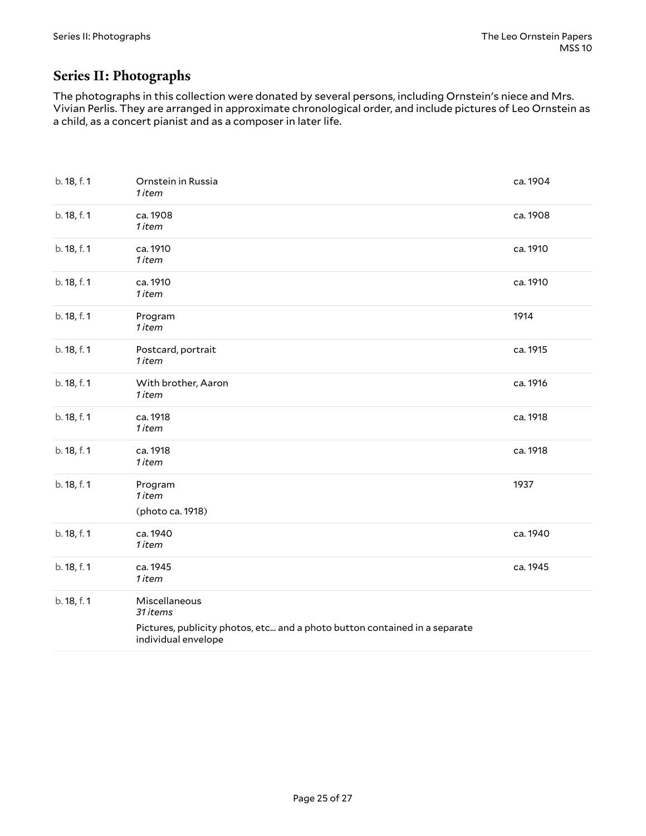### <span id="page-24-0"></span>**Series II: Photographs**

The photographs in this collection were donated by several persons, including Ornstein's niece and Mrs. Vivian Perlis. They are arranged in approximate chronological order, and include pictures of Leo Ornstein as a child, as a concert pianist and as a composer in later life.

| b. 18, f. 1 | Ornstein in Russia<br>1 item                                                                                                   | ca. 1904 |
|-------------|--------------------------------------------------------------------------------------------------------------------------------|----------|
| b. 18, f. 1 | ca. 1908<br>1 item                                                                                                             | ca. 1908 |
| b. 18, f. 1 | ca. 1910<br>1 item                                                                                                             | ca. 1910 |
| b. 18, f. 1 | ca. 1910<br>1 item                                                                                                             | ca. 1910 |
| b. 18, f. 1 | Program<br>1 item                                                                                                              | 1914     |
| b. 18, f. 1 | Postcard, portrait<br>1 item                                                                                                   | ca. 1915 |
| b. 18, f. 1 | With brother, Aaron<br>1 item                                                                                                  | ca. 1916 |
| b. 18, f. 1 | ca. 1918<br>1 item                                                                                                             | ca. 1918 |
| b. 18, f. 1 | ca. 1918<br>1 item                                                                                                             | ca. 1918 |
| b. 18, f. 1 | Program<br>1 item<br>(photo ca. 1918)                                                                                          | 1937     |
| b. 18, f. 1 | ca. 1940<br>1 item                                                                                                             | ca. 1940 |
| b. 18, f. 1 | ca. 1945<br>1 item                                                                                                             | ca. 1945 |
| b. 18, f. 1 | Miscellaneous<br>31 items<br>Pictures, publicity photos, etc and a photo button contained in a separate<br>individual envelope |          |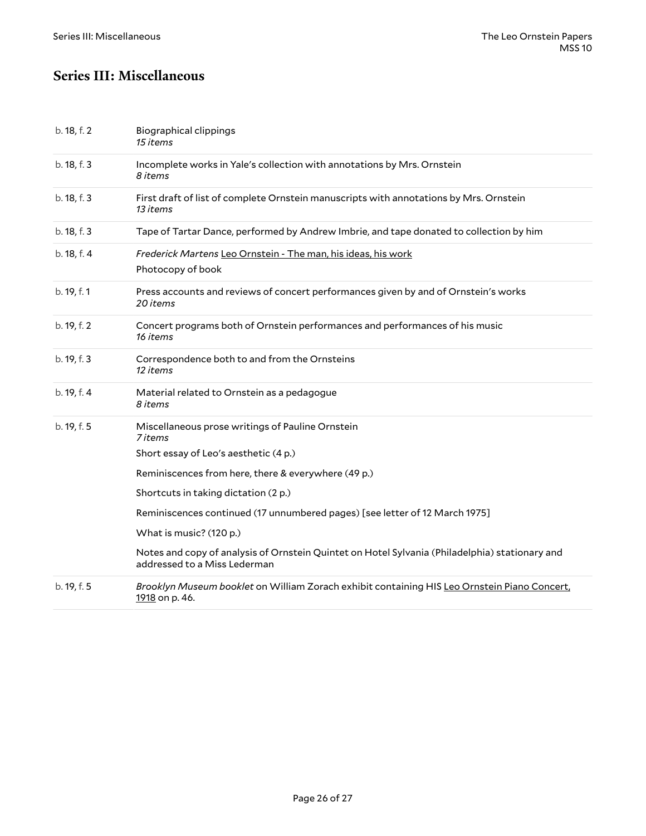### <span id="page-25-0"></span>**Series III: Miscellaneous**

| b. 18, f. 2 | <b>Biographical clippings</b><br>15 items                                                                                      |
|-------------|--------------------------------------------------------------------------------------------------------------------------------|
| b. 18, f. 3 | Incomplete works in Yale's collection with annotations by Mrs. Ornstein<br>8 items                                             |
| b. 18, f. 3 | First draft of list of complete Ornstein manuscripts with annotations by Mrs. Ornstein<br>13 items                             |
| b. 18, f. 3 | Tape of Tartar Dance, performed by Andrew Imbrie, and tape donated to collection by him                                        |
| b. 18, f. 4 | Frederick Martens Leo Ornstein - The man, his ideas, his work<br>Photocopy of book                                             |
| b. 19, f. 1 | Press accounts and reviews of concert performances given by and of Ornstein's works<br>20 items                                |
| b. 19, f. 2 | Concert programs both of Ornstein performances and performances of his music<br>16 items                                       |
| b. 19, f. 3 | Correspondence both to and from the Ornsteins<br>12 items                                                                      |
| b. 19, f. 4 | Material related to Ornstein as a pedagogue<br>8 items                                                                         |
| b. 19, f. 5 | Miscellaneous prose writings of Pauline Ornstein<br>7 items                                                                    |
|             | Short essay of Leo's aesthetic (4 p.)                                                                                          |
|             | Reminiscences from here, there & everywhere (49 p.)                                                                            |
|             | Shortcuts in taking dictation (2 p.)                                                                                           |
|             | Reminiscences continued (17 unnumbered pages) [see letter of 12 March 1975]                                                    |
|             | What is music? (120 p.)                                                                                                        |
|             | Notes and copy of analysis of Ornstein Quintet on Hotel Sylvania (Philadelphia) stationary and<br>addressed to a Miss Lederman |
| b. 19, f. 5 | Brooklyn Museum booklet on William Zorach exhibit containing HIS Leo Ornstein Piano Concert,<br>1918 on p. 46.                 |